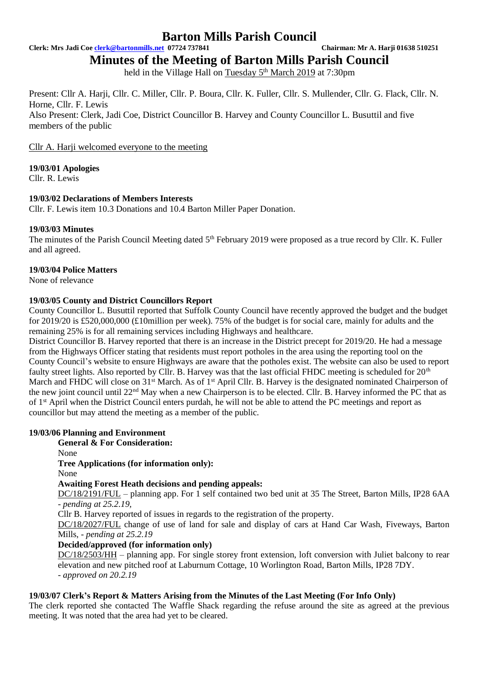**Clerk: Mrs Jadi Coe [clerk@bartonmills.net](mailto:clerk@bartonmills.net) 07724 737841 Chairman: Mr A. Harji 01638 510251**

# **Minutes of the Meeting of Barton Mills Parish Council**

held in the Village Hall on Tuesday 5<sup>th</sup> March 2019 at 7:30pm

Present: Cllr A. Harji, Cllr. C. Miller, Cllr. P. Boura, Cllr. K. Fuller, Cllr. S. Mullender, Cllr. G. Flack, Cllr. N. Horne, Cllr. F. Lewis Also Present: Clerk, Jadi Coe, District Councillor B. Harvey and County Councillor L. Busuttil and five members of the public

Cllr A. Harji welcomed everyone to the meeting

**19/03/01 Apologies**

Cllr. R. Lewis

# **19/03/02 Declarations of Members Interests**

Cllr. F. Lewis item 10.3 Donations and 10.4 Barton Miller Paper Donation.

# **19/03/03 Minutes**

The minutes of the Parish Council Meeting dated 5<sup>th</sup> February 2019 were proposed as a true record by Cllr. K. Fuller and all agreed.

# **19/03/04 Police Matters**

None of relevance

# **19/03/05 County and District Councillors Report**

County Councillor L. Busuttil reported that Suffolk County Council have recently approved the budget and the budget for 2019/20 is £520,000,000 (£10million per week). 75% of the budget is for social care, mainly for adults and the remaining 25% is for all remaining services including Highways and healthcare.

District Councillor B. Harvey reported that there is an increase in the District precept for 2019/20. He had a message from the Highways Officer stating that residents must report potholes in the area using the reporting tool on the County Council's website to ensure Highways are aware that the potholes exist. The website can also be used to report faulty street lights. Also reported by Cllr. B. Harvey was that the last official FHDC meeting is scheduled for 20<sup>th</sup> March and FHDC will close on 31<sup>st</sup> March. As of 1<sup>st</sup> April Cllr. B. Harvey is the designated nominated Chairperson of the new joint council until 22<sup>nd</sup> May when a new Chairperson is to be elected. Cllr. B. Harvey informed the PC that as of 1st April when the District Council enters purdah, he will not be able to attend the PC meetings and report as councillor but may attend the meeting as a member of the public.

# **19/03/06 Planning and Environment**

# **General & For Consideration:**

None

**Tree Applications (for information only):**

None

# **Awaiting Forest Heath decisions and pending appeals:**

DC/18/2191/FUL – planning app. For 1 self contained two bed unit at 35 The Street, Barton Mills, IP28 6AA *- pending at 25.2.19,* 

Cllr B. Harvey reported of issues in regards to the registration of the property.

DC/18/2027/FUL change of use of land for sale and display of cars at Hand Car Wash, Fiveways, Barton Mills, - *pending at 25.2.19*

# **Decided/approved (for information only)**

DC/18/2503/HH – planning app. For single storey front extension, loft conversion with Juliet balcony to rear elevation and new pitched roof at Laburnum Cottage, 10 Worlington Road, Barton Mills, IP28 7DY. *- approved on 20.2.19*

# **19/03/07 Clerk's Report & Matters Arising from the Minutes of the Last Meeting (For Info Only)**

The clerk reported she contacted The Waffle Shack regarding the refuse around the site as agreed at the previous meeting. It was noted that the area had yet to be cleared.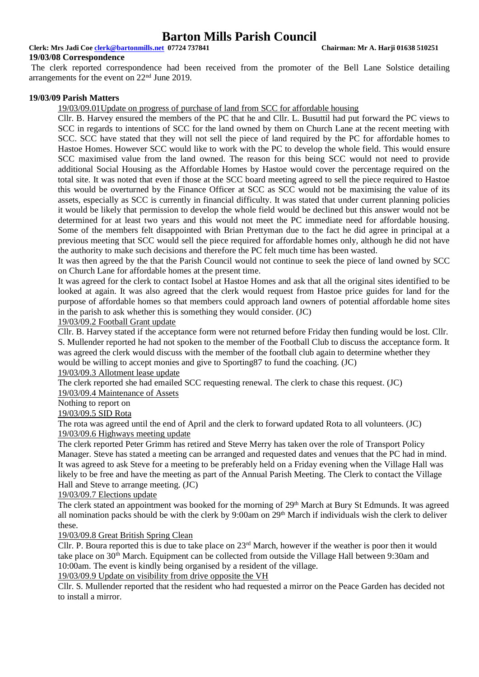**Clerk: Mrs Jadi Coe [clerk@bartonmills.net](mailto:clerk@bartonmills.net) 07724 737841 Chairman: Mr A. Harji 01638 510251**

**19/03/08 Correspondence**

The clerk reported correspondence had been received from the promoter of the Bell Lane Solstice detailing arrangements for the event on 22nd June 2019.

#### **19/03/09 Parish Matters**

19/03/09.01Update on progress of purchase of land from SCC for affordable housing

Cllr. B. Harvey ensured the members of the PC that he and Cllr. L. Busuttil had put forward the PC views to SCC in regards to intentions of SCC for the land owned by them on Church Lane at the recent meeting with SCC. SCC have stated that they will not sell the piece of land required by the PC for affordable homes to Hastoe Homes. However SCC would like to work with the PC to develop the whole field. This would ensure SCC maximised value from the land owned. The reason for this being SCC would not need to provide additional Social Housing as the Affordable Homes by Hastoe would cover the percentage required on the total site. It was noted that even if those at the SCC board meeting agreed to sell the piece required to Hastoe this would be overturned by the Finance Officer at SCC as SCC would not be maximising the value of its assets, especially as SCC is currently in financial difficulty. It was stated that under current planning policies it would be likely that permission to develop the whole field would be declined but this answer would not be determined for at least two years and this would not meet the PC immediate need for affordable housing. Some of the members felt disappointed with Brian Prettyman due to the fact he did agree in principal at a previous meeting that SCC would sell the piece required for affordable homes only, although he did not have the authority to make such decisions and therefore the PC felt much time has been wasted.

It was then agreed by the that the Parish Council would not continue to seek the piece of land owned by SCC on Church Lane for affordable homes at the present time.

It was agreed for the clerk to contact Isobel at Hastoe Homes and ask that all the original sites identified to be looked at again. It was also agreed that the clerk would request from Hastoe price guides for land for the purpose of affordable homes so that members could approach land owners of potential affordable home sites in the parish to ask whether this is something they would consider. (JC)

# 19/03/09.2 Football Grant update

Cllr. B. Harvey stated if the acceptance form were not returned before Friday then funding would be lost. Cllr. S. Mullender reported he had not spoken to the member of the Football Club to discuss the acceptance form. It was agreed the clerk would discuss with the member of the football club again to determine whether they would be willing to accept monies and give to Sporting87 to fund the coaching. (JC)

#### 19/03/09.3 Allotment lease update

The clerk reported she had emailed SCC requesting renewal. The clerk to chase this request. (JC) 19/03/09.4 Maintenance of Assets

Nothing to report on

19/03/09.5 SID Rota

The rota was agreed until the end of April and the clerk to forward updated Rota to all volunteers. (JC) 19/03/09.6 Highways meeting update

The clerk reported Peter Grimm has retired and Steve Merry has taken over the role of Transport Policy Manager. Steve has stated a meeting can be arranged and requested dates and venues that the PC had in mind. It was agreed to ask Steve for a meeting to be preferably held on a Friday evening when the Village Hall was likely to be free and have the meeting as part of the Annual Parish Meeting. The Clerk to contact the Village Hall and Steve to arrange meeting. (JC)

19/03/09.7 Elections update

The clerk stated an appointment was booked for the morning of 29<sup>th</sup> March at Bury St Edmunds. It was agreed all nomination packs should be with the clerk by 9:00am on  $29<sup>th</sup>$  March if individuals wish the clerk to deliver these.

#### 19/03/09.8 Great British Spring Clean

Cllr. P. Boura reported this is due to take place on 23rd March, however if the weather is poor then it would take place on 30th March. Equipment can be collected from outside the Village Hall between 9:30am and 10:00am. The event is kindly being organised by a resident of the village.

19/03/09.9 Update on visibility from drive opposite the VH

Cllr. S. Mullender reported that the resident who had requested a mirror on the Peace Garden has decided not to install a mirror.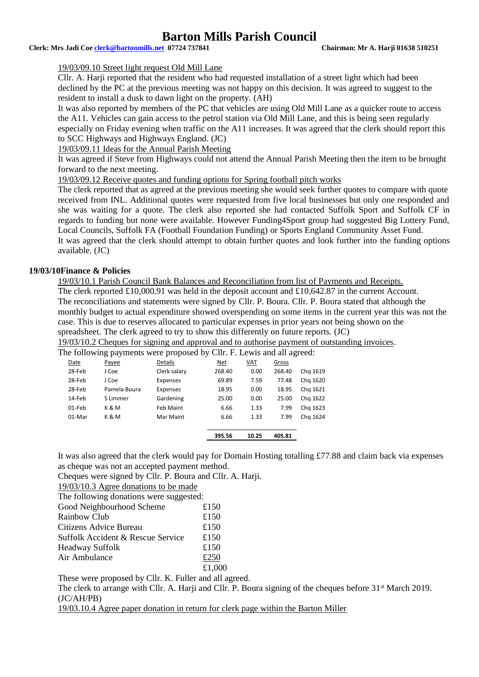**Clerk: Mrs Jadi Coe [clerk@bartonmills.net](mailto:clerk@bartonmills.net) 07724 737841 Chairman: Mr A. Harji 01638 510251**

#### 19/03/09.10 Street light request Old Mill Lane

Cllr. A. Harji reported that the resident who had requested installation of a street light which had been declined by the PC at the previous meeting was not happy on this decision. It was agreed to suggest to the resident to install a dusk to dawn light on the property. (AH)

It was also reported by members of the PC that vehicles are using Old Mill Lane as a quicker route to access the A11. Vehicles can gain access to the petrol station via Old Mill Lane, and this is being seen regularly especially on Friday evening when traffic on the A11 increases. It was agreed that the clerk should report this to SCC Highways and Highways England. (JC)

19/03/09.11 Ideas for the Annual Parish Meeting

It was agreed if Steve from Highways could not attend the Annual Parish Meeting then the item to be brought forward to the next meeting.

19/03/09.12 Receive quotes and funding options for Spring football pitch works

The clerk reported that as agreed at the previous meeting she would seek further quotes to compare with quote received from INL. Additional quotes were requested from five local businesses but only one responded and she was waiting for a quote. The clerk also reported she had contacted Suffolk Sport and Suffolk CF in regards to funding but none were available. However Funding4Sport group had suggested Big Lottery Fund, Local Councils, Suffolk FA (Football Foundation Funding) or Sports England Community Asset Fund. It was agreed that the clerk should attempt to obtain further quotes and look further into the funding options available. (JC)

### **19/03/10Finance & Policies**

19/03/10.1 Parish Council Bank Balances and Reconciliation from list of Payments and Receipts.

The clerk reported £10,000.91 was held in the deposit account and £10,642.87 in the current Account. The reconciliations and statements were signed by Cllr. P. Boura. Cllr. P. Boura stated that although the monthly budget to actual expenditure showed overspending on some items in the current year this was not the case. This is due to reserves allocated to particular expenses in prior years not being shown on the spreadsheet. The clerk agreed to try to show this differently on future reports. (JC)

19/03/10.2 Cheques for signing and approval and to authorise payment of outstanding invoices.

The following payments were proposed by Cllr. F. Lewis and all agreed:

|        |              |              | 395.56 | 10.25         | 405.81 |          |
|--------|--------------|--------------|--------|---------------|--------|----------|
| 01-Mar | K&M          | Mar Maint    |        | 6.66<br>1.33  | 7.99   | Chg 1624 |
| 01-Feb | K & M        | Feb Maint    |        | 6.66<br>1.33  | 7.99   | Chg 1623 |
| 14-Feb | S Limmer     | Gardening    |        | 25.00<br>0.00 | 25.00  | Chg 1622 |
| 28-Feb | Pamela Boura | Expenses     |        | 18.95<br>0.00 | 18.95  | Chg 1621 |
| 28-Feb | J Coe        | Expenses     | 69.89  | 7.59          | 77.48  | Chg 1620 |
| 28-Feb | J Coe        | Clerk salary | 268.40 | 0.00          | 268.40 | Chg 1619 |
| Date   | Payee        | Details      | Net    | <u>VAT</u>    | Gross  |          |
|        | ັ້           |              |        |               |        |          |

It was also agreed that the clerk would pay for Domain Hosting totalling £77.88 and claim back via expenses as cheque was not an accepted payment method.

Cheques were signed by Cllr. P. Boura and Cllr. A. Harji.

19/03/10.3 Agree donations to be made

The following donations were suggested:

| Good Neighbourhood Scheme         | £150   |
|-----------------------------------|--------|
| Rainbow Club                      | £150   |
| Citizens Advice Bureau            | £150   |
| Suffolk Accident & Rescue Service | £150   |
| <b>Headway Suffolk</b>            | £150   |
| Air Ambulance                     | £250   |
|                                   | £1,000 |

These were proposed by Cllr. K. Fuller and all agreed.

The clerk to arrange with Cllr. A. Harji and Cllr. P. Boura signing of the cheques before  $31<sup>st</sup>$  March 2019. (JC/AH/PB)

19/03.10.4 Agree paper donation in return for clerk page within the Barton Miller